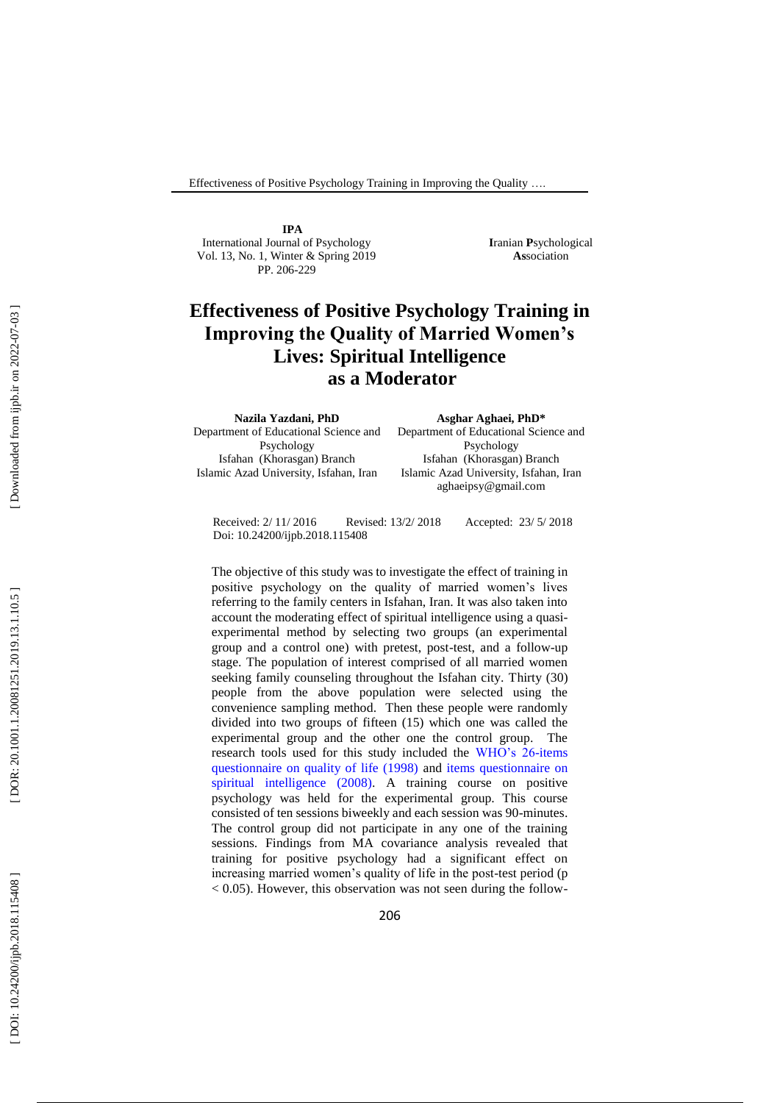**IPA** International Journal of Psychology Vol. 13, No. 1, Winter & Spring 2019 PP. 206-229

**I**ranian **P**sychological **As**sociation

# **Effectiveness of Positive Psychology Training in Improving the Quality of Married Women's Lives: Spiritual Intelligence as a Moderator**

Department of Educational Science and Psychology Isfahan (Khorasgan) Branch Islamic Azad University, Isfahan, Iran

**Asghar Aghaei, PhD\*** Department of Educational Science and Psychology Isfahan (Khorasgan) Branch Islamic Azad University, Isfahan, Iran aghaeipsy@gmail.com

 Doi: 10.24200/ijpb.2018.115408 Received: 2/ 11/ 2016 Revised: 13/2/ 2018 / 2018 Accepted: 23/ 5/ 2018

The objective of this study was to investigate the effect of training in positive psychology on the quality of married women's lives referring to the family centers in Isfahan, Iran. It was also taken into account the moderating effect of spiritual intelligence using a quasi experimental method by selecting two groups (an experimental group and a control one) with pretest, post -test, and a follow -up stage. The population of interest comprised of all married women seeking family counseling throughout the Isfahan city. Thirty (30) people from the above population were selected using the convenience sampling method. Then these people were randomly divided into two groups of fifteen (15) which one was called the experimental group and the other one the control group. The research tools used for this study included the WHO's 26-items questionnaire on quality of life (1998) and items questionnaire on spiritual intelligence (2008). A training course on positive psychology was held for the experimental group. This course consisted of ten sessions biweekly and each session was 90 -minutes. The control group did not participate in any one of the training sessions. Findings from MA covariance analysis revealed that training for positive psychology had a significant effect on increasing married women's quality of life in the post -test period (p < 0.05). However, this observation was not seen during the follow -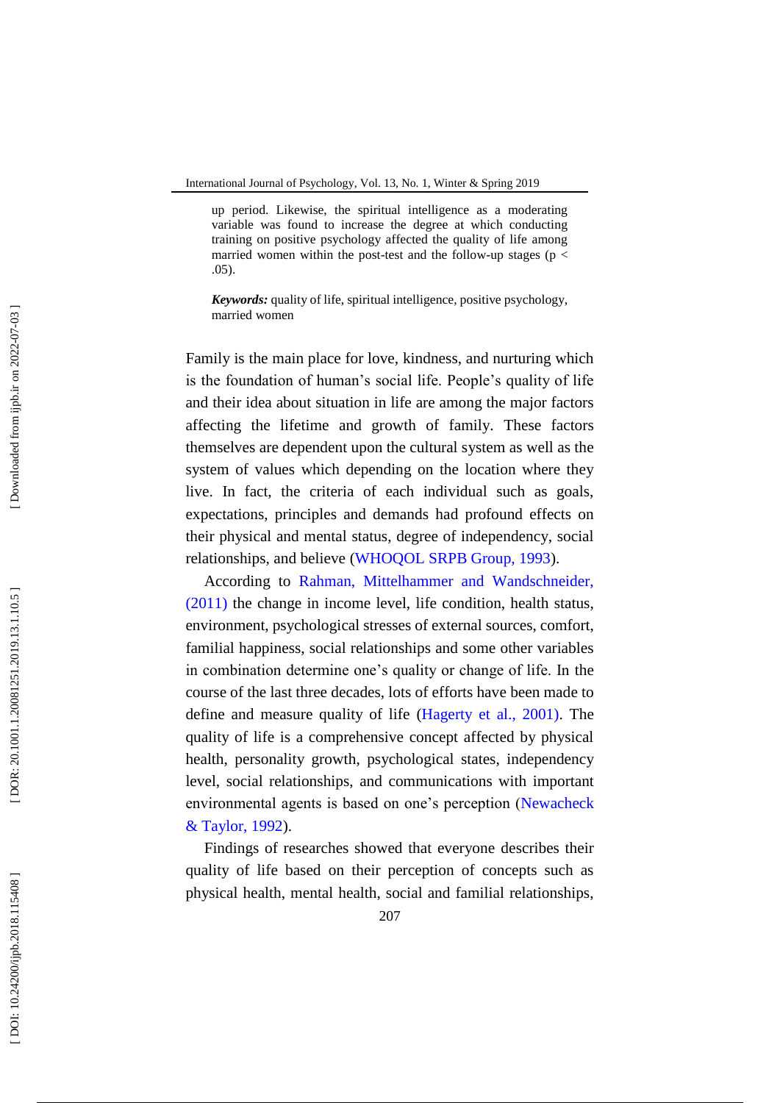up period. Likewise, the spiritual intelligence as a moderating variable was found to increase the degree at which conducting training on positive psychology affected the quality of life among married women within the post-test and the follow-up stages ( $p <$ .05).

*Keywords:* quality of life, spiritual intelligence, positive psychology, married women

Family is the main place for love, kindness, and nurturing which is the foundation of human's social life. People's quality of life and their idea about situation in life are among the major factors affecting the lifetime and growth of family. These factors themselves are dependent upon the cultural system as well as the system of values which depending on the location where they live. In fact, the criteria of each individual such as goals, expectations, principles and demands had profound effects on their physical and mental status, degree of independency, social relationships, and believe (WHOQOL SRPB Group, 1993).

According to Rahman, Mittelhammer and Wandschneider, (2011) the change in income level, life condition, health status, environment, psychological stresses of external sources, comfort, familial happiness, social relationships and some other variables in combination determine one's quality or change of life. In the course of the last three decades, lots of efforts have been made to define and measure quality of life (Hagerty et al., 2001). The quality of life is a comprehensive concept affected by physical health, personality growth, psychological states, independency level, social relationships, and communications with important environmental agents is based on one's perception (Newacheck & Taylor, 1992).

Findings of researches showed that everyone describes their quality of life based on their perception of concepts such as physical health, mental health, social and familial relationships,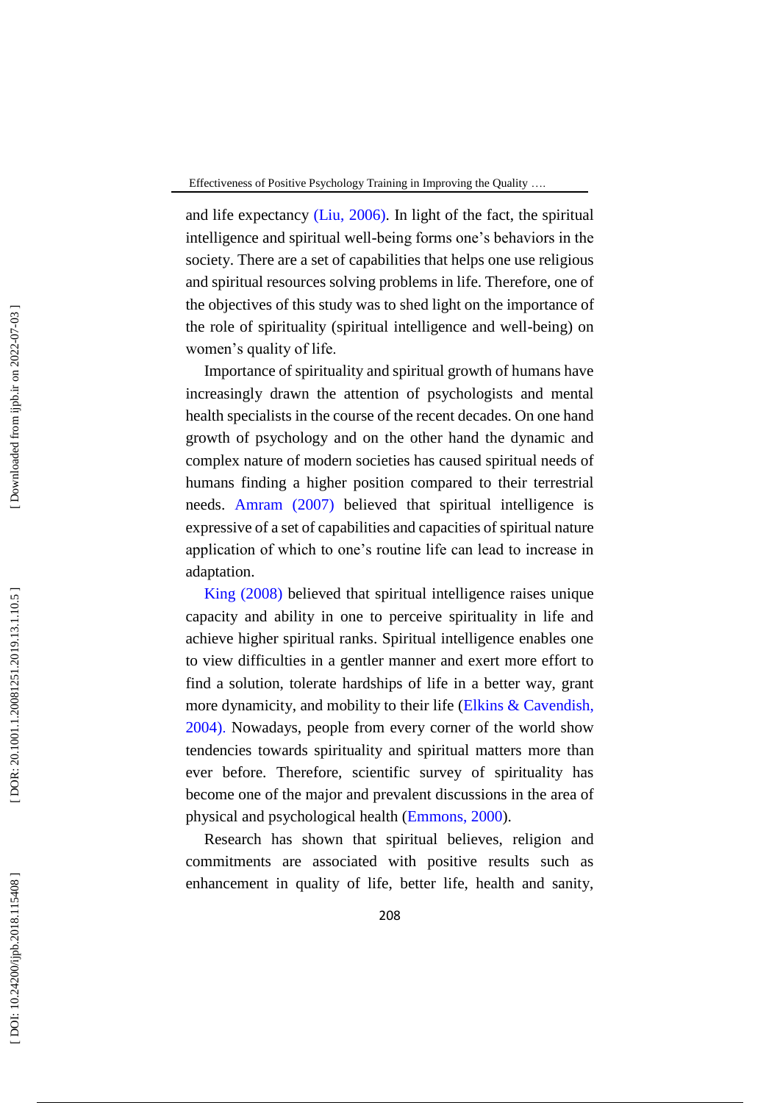and life expectancy (Liu, 2006) . In light of the fact, the spiritual intelligence and spiritual well -being forms one's behaviors in the society. There are a set of capabilities that helps one use religious and spiritual resources solving problems in life. Therefore, one of the objectives of this study was to shed light on the importance of the role of spirituality (spiritual intelligence and well -being) on women's quality of life.

Importance of spirituality and spiritual growth of humans have increasingly drawn the attention of psychologists and mental health specialists in the course of the recent decades. On one hand growth of psychology and on the other hand the dynamic and complex nature of modern societies has caused spiritual needs of humans finding a higher position compared to their terrestrial needs. Amram (2007) believed that spiritual intelligence is expressive of a set of capabilities and capacities of spiritual nature application of which to one's routine life can lead to increase in adaptation.

King (2008) believed that spiritual intelligence raises unique capacity and ability in one to perceive spirituality in life and achieve higher spiritual ranks. Spiritual intelligence enables one to view difficulties in a gentler manner and exert more effort to find a solution, tolerate hardships of life in a better way, grant more dynamicity, and mobility to their life (Elkins & Cavendish, 2004) . Nowadays, people from every corner of the world show tendencies towards spirituality and spiritual matters more than ever before. Therefore, scientific survey of spirituality has become one of the major and prevalent discussions in the area of physical and psychological health (Emmons, 2000).

Research has shown that spiritual believes, religion and commitments are associated with positive results such as enhancement in quality of life, better life, health and sanity,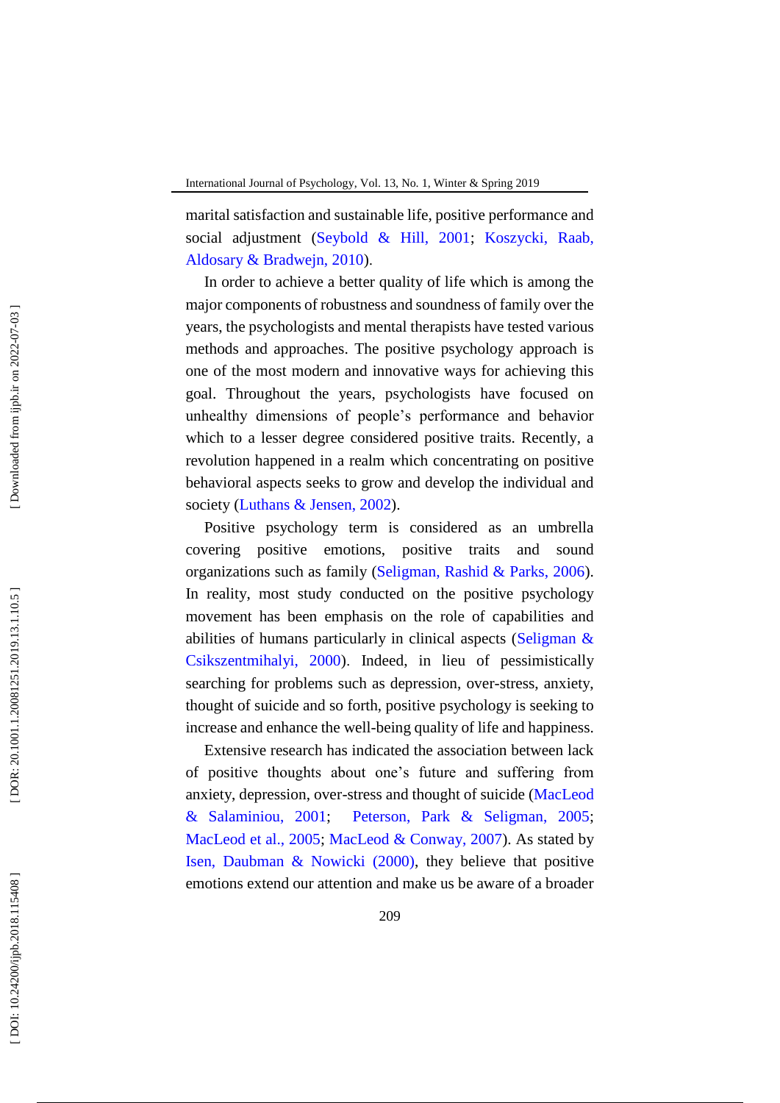marital satisfaction and sustainable life, positive performance and social adjustment (Seybold & Hill, 2001; Koszycki, Raab, Aldosary & Bradwejn, 2010 ) .

In order to achieve a better quality of life which is among the major components of robustness and soundness of family over the years, the psychologists and mental therapists have tested various methods and approaches. The positive psychology approach is one of the most modern and innovative ways for achieving this goal. Throughout the years, psychologists have focused on unhealthy dimensions of people's performance and behavior which to a lesser degree considered positive traits. Recently, a revolution happened in a realm which concentrating on positive behavioral aspects seeks to grow and develop the individual and society (Luthans & Jensen, 2002).

Positive psychology term is considered as an umbrella covering positive emotions, positive traits and sound organizations such as family (Seligman, Rashid & Parks, 2006). In reality, most study conducted on the positive psychology movement has been emphasis on the role of capabilities and abilities of humans particularly in clinical aspects (Seligman & Csikszentmihalyi, 2000 ) . Indeed, in lieu of pessimistically searching for problems such as depression, over-stress, anxiety, thought of suicide and so forth, positive psychology is seeking to increase and enhance the well -being quality of life and happiness.

Extensive research has indicated the association between lack of positive thoughts about one's future and suffering from anxiety, depression, over -stress and thought of suicide (MacLeod & Salaminiou, 2001; Peterson, Park & Seligman, 2005; MacLeod et al., 2005; MacLeod & Conway, 2007). As stated by Isen, Daubman & Nowicki (2000), they believe that positive emotions extend our attention and make us be aware of a broader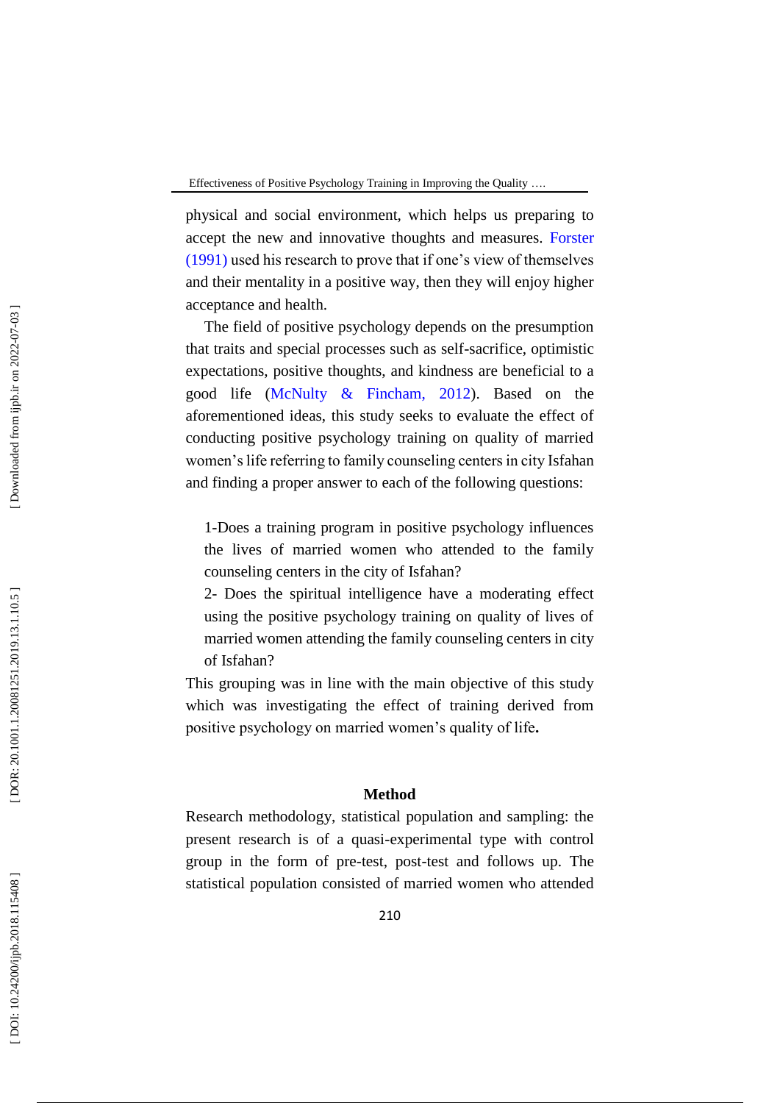physical and social environment, which helps us preparing to accept the new and innovative thoughts and measures. Forster (1991) used his research to prove that if one's view of themselves and their mentality in a positive way, then they will enjoy higher acceptance and health.

The field of positive psychology depends on the presumption that traits and special processes such as self -sacrifice, optimistic expectations, positive thoughts, and kindness are beneficial to a good life (McNulty & Fincham, 2012). Based on the aforementioned ideas, this study seeks to evaluate the effect of conducting positive psychology training on quality of married women's life referring to family counseling centers in city Isfahan and finding a proper answer to each of the following questions:

1-Does a training program in positive psychology influences the lives of married women who attended to the family counseling centers in the city of Isfahan?

2- Does the spiritual intelligence have a moderating effect using the positive psychology training on quality of lives of married women attending the family counseling centers in city of Isfahan?

This grouping was in line with the main objective of this study which was investigating the effect of training derived from positive psychology on married women's quality of life **.**

# **Method**

Research methodology, statistical population and sampling: the present research is of a quasi -experimental type with control group in the form of pre -test, post -test and follows up. The statistical population consisted of married women who attended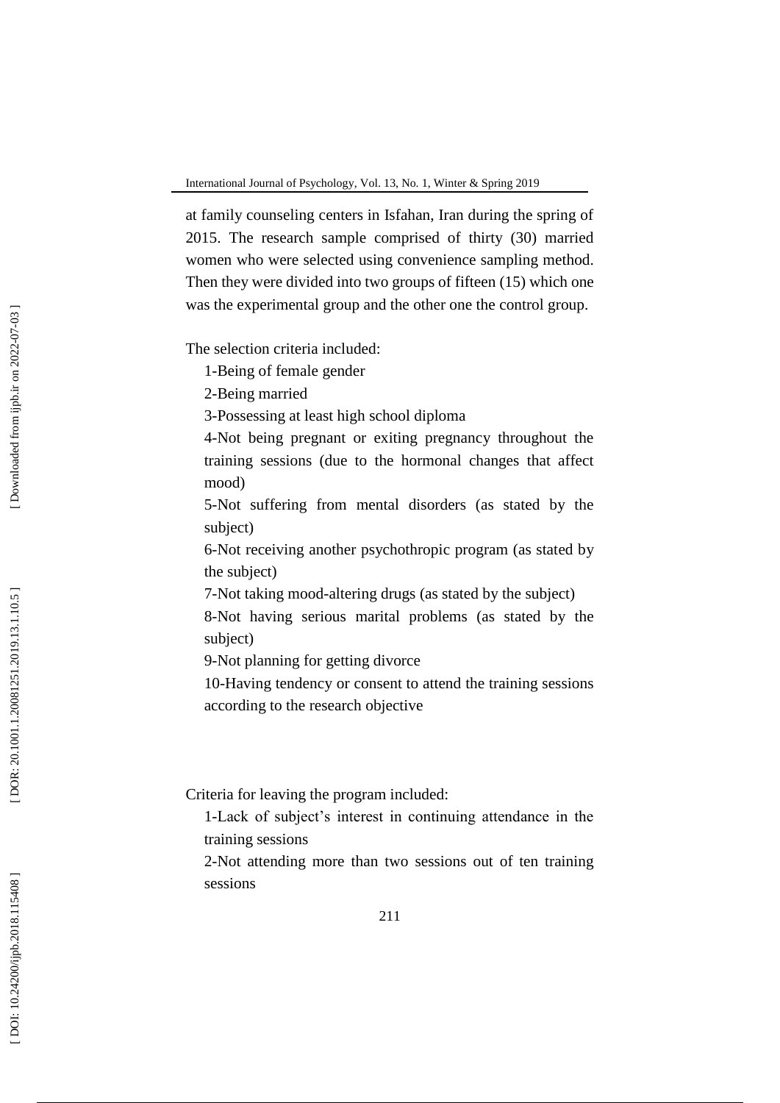at family counseling centers in Isfahan, Iran during the spring of 2015. The research sample comprised of thirty (30) married women who were selected using convenience sampling method. Then they were divided into two groups of fifteen (15) which one was the experimental group and the other one the control group.

The selection criteria included:

1-Being of female gender

2-Being married

3-Possessing at least high school diploma

4-Not being pregnant or exiting pregnancy throughout the training sessions (due to the hormonal changes that affect mood)

5-Not suffering from mental disorders (as stated by the subject)

6-Not receiving another psychothropic program (as stated by the subject)

7-Not taking mood -altering drugs (as stated by the subject)

8 -Not having serious marital problems (as stated by the subject)

9-Not planning for getting divorce

10 -Having tendency or consent to attend the training sessions according to the research objective

Criteria for leaving the program included:

1-Lack of subject's interest in continuing attendance in the training sessions

2-Not attending more than two sessions out of ten training sessions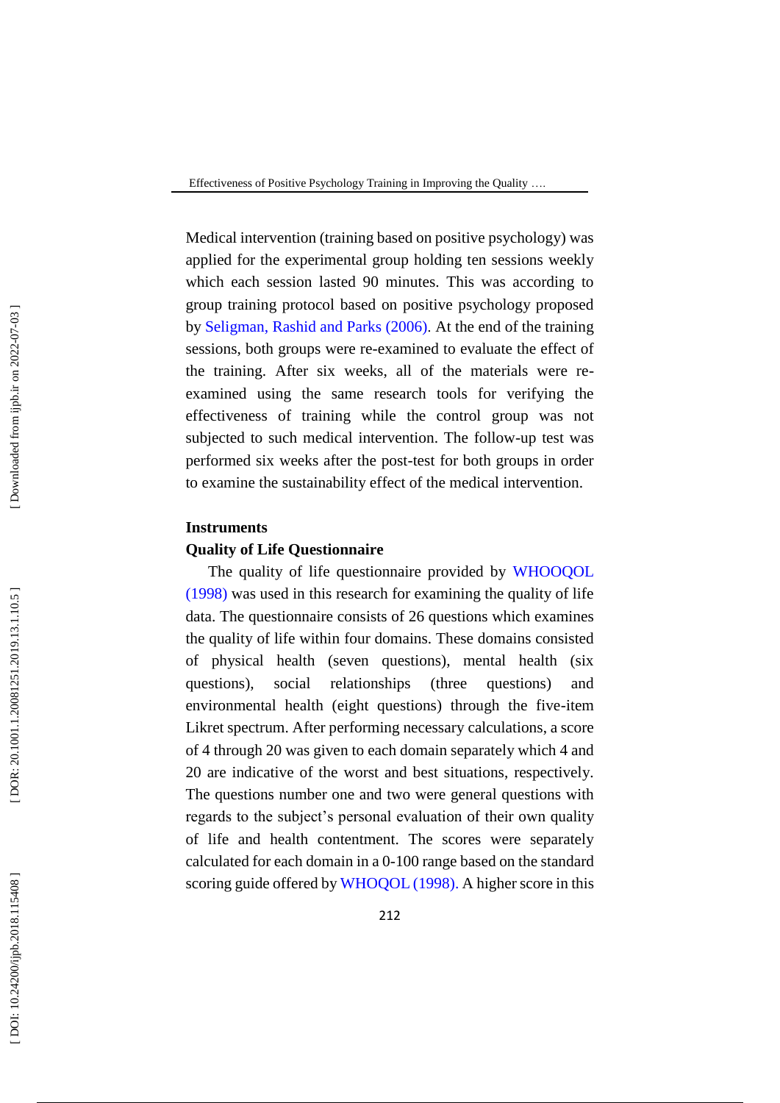Medical intervention (training based on positive psychology) was applied for the experimental group holding ten sessions weekly which each session lasted 90 minutes. This was according to group training protocol based on positive psychology proposed by Seligman, Rashid and Parks (2006) . At the end of the training sessions, both groups were re -examined to evaluate the effect of the training. After six weeks, all of the materials were re examined using the same research tools for verifying the effectiveness of training while the control group was not subjected to such medical intervention. The follow -up test was performed six weeks after the post -test for both groups in order to examine the sustainability effect of the medical intervention.

# **Instruments**

# **Quality of Life Questionnaire**

The quality of life questionnaire provided by WHOOQOL (1998) was used in this research for examining the quality of life data. The questionnaire consists of 26 questions which examines the quality of life within four domains. These domains consisted of physical health (seven questions), mental health (six questions), social relationships (three questions) and environmental health (eight questions) through the five -item Likret spectrum. After performing necessary calculations, a score of 4 through 20 was given to each domain separately which 4 and 20 are indicative of the worst and best situations, respectively. The questions number one and two were general questions with regards to the subject's personal evaluation of their own quality of life and health contentment. The scores were separately calculated for each domain in a 0 -100 range based on the standard scoring guide offered by WHOQOL (1998). A higher score in this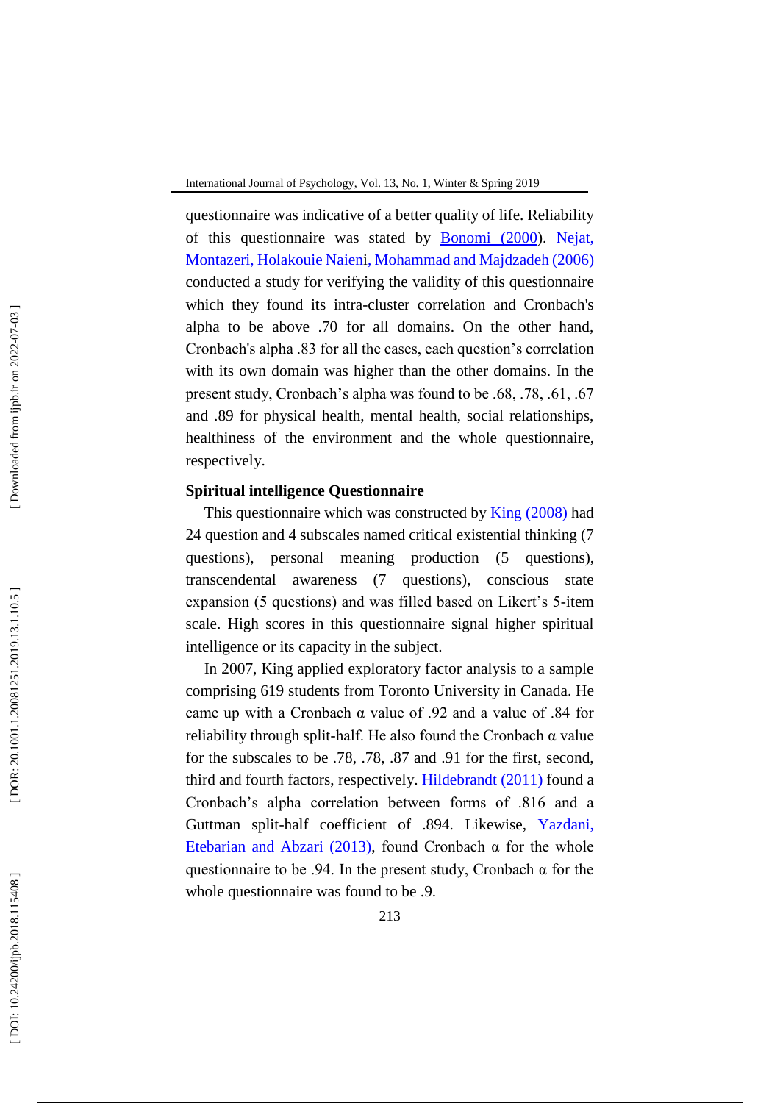questionnaire was indicative of a better quality of life. Reliability of this questionnaire was stated by Bonomi (2000). Nejat, Montazeri, Holakouie Naien i, Mohammad and Majdzadeh (2006 ) conducted a study for verifying the validity of this questionnaire which they found its intra -cluster correlation and Cronbach's alpha to be above .70 for all domains. On the other hand, Cronbach's alpha .83 for all the cases, each question's correlation with its own domain was higher than the other domains. In the present study, Cronbach's alpha was found to be .68, .78, .61, .67 and .89 for physical health, mental health, social relationships, healthiness of the environment and the whole questionnaire, respectively.

# **Spiritual intelligence Questionnaire**

This questionnaire which was constructed by King (2008) had 24 question and 4 subscales named critical existential thinking (7 questions), personal meaning production (5 questions), transcendental awareness (7 questions), conscious state expansion (5 questions) and was filled based on Likert's 5 -item scale. High scores in this questionnaire signal higher spiritual intelligence or its capacity in the subject.

In 2007, King applied exploratory factor analysis to a sample comprising 619 students from Toronto University in Canada. He came up with a Cronbach α value of .92 and a value of .84 for reliability through split -half. He also found the Cronbach α value for the subscales to be .78, .78, .87 and .91 for the first, second, third and fourth factors, respectively. Hildebrandt (2011) found a Cronbach's alpha correlation between forms of .816 and a Guttman split -half coefficient of .894. Likewise, Yazdani, Etebarian and Abzari (2013), found Cronbach  $\alpha$  for the whole questionnaire to be .94. In the present study, Cronbach  $\alpha$  for the whole questionnaire was found to be .9.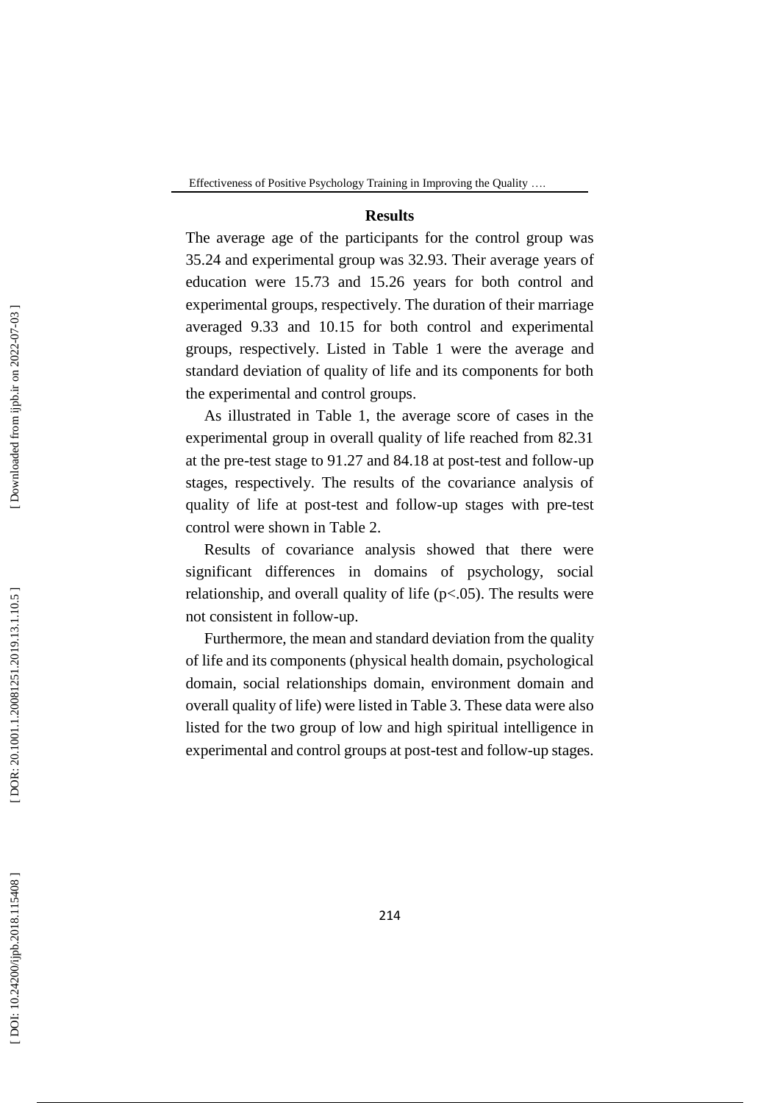# **Results**

The average age of the participants for the control group was 35.24 and experimental group was 32.93. Their average years of education were 15.73 and 15.26 years for both control and experimental groups, respectively. The duration of their marriage averaged 9.33 and 10.15 for both control and experimental groups, respectively. Listed in Table 1 were the average and standard deviation of quality of life and its components for both the experimental and control groups.

As illustrated in Table 1, the average score of cases in the experimental group in overall quality of life reached from 82.31 at the pre -test stage to 91.27 and 84.18 at post -test and follow -up stages, respectively. The results of the covariance analysis of quality of life at post -test and follow -up stages with pre -test control were shown in Table 2.

Results of covariance analysis showed that there were significant differences in domains of psychology, social relationship, and overall quality of life  $(p<.05)$ . The results were not consistent in follow -up.

Furthermore, the mean and standard deviation from the quality of life and its components (physical health domain, psychological domain, social relationships domain, environment domain and overall quality of life) were listed in Table 3. These data were also listed for the two group of low and high spiritual intelligence in experimental and control groups at post -test and follow -up stages.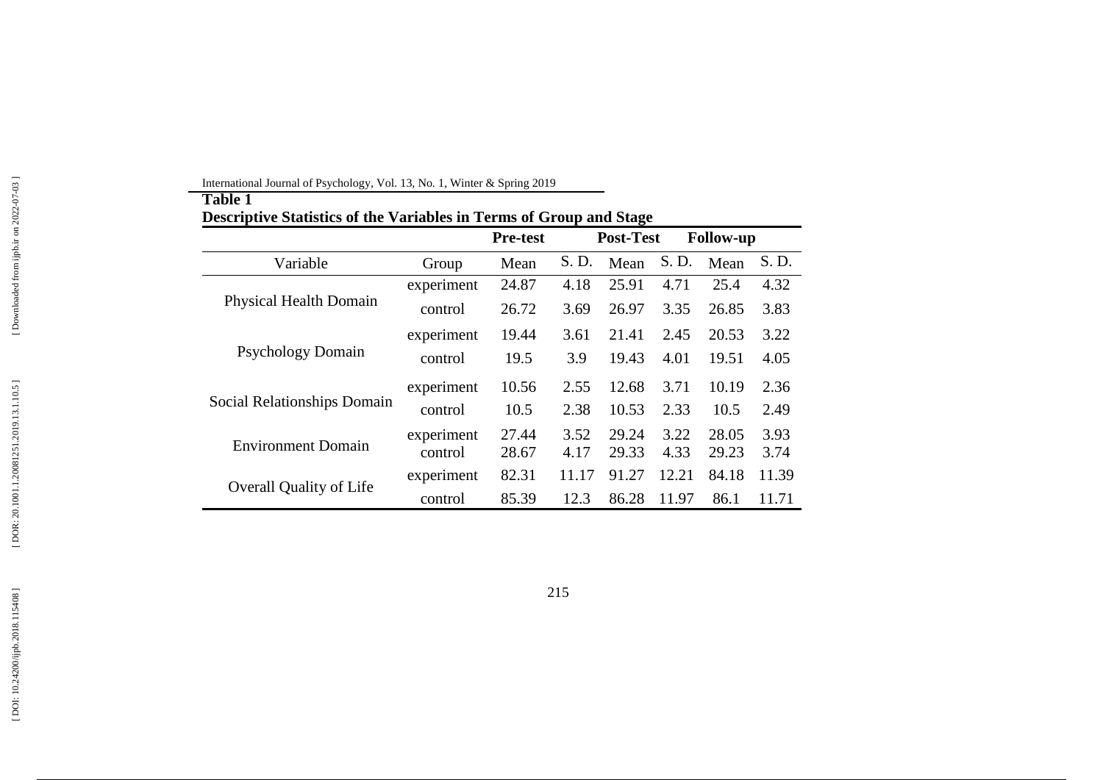|                                |                       | <b>Pre-test</b> |              | <b>Post-Test</b> | <b>Follow-up</b> |                |              |
|--------------------------------|-----------------------|-----------------|--------------|------------------|------------------|----------------|--------------|
| Variable                       | Group                 | Mean            | S. D.        | Mean             | S. D.            | Mean           | S. D.        |
|                                | experiment            | 24.87           | 4.18         | 25.91            | 4.71             | 25.4           | 4.32         |
| <b>Physical Health Domain</b>  | control               | 26.72           | 3.69         | 26.97            | 3.35             | 26.85          | 3.83         |
|                                | experiment            | 19.44           | 3.61         | 21.41            | 2.45             | 20.53          | 3.22         |
| <b>Psychology Domain</b>       | control               | 19.5            | 3.9          | 19.43            | 4.01             | 19.51          | 4.05         |
|                                | experiment            | 10.56           | 2.55         | 12.68            | 3.71             | 10.19          | 2.36         |
| Social Relationships Domain    | control               | 10.5            | 2.38         | 10.53            | 2.33             | 10.5           | 2.49         |
| <b>Environment Domain</b>      | experiment<br>control | 27.44<br>28.67  | 3.52<br>4.17 | 29.24<br>29.33   | 3.22<br>4.33     | 28.05<br>29.23 | 3.93<br>3.74 |
|                                | experiment            | 82.31           | 11.17        | 91.27            | 12.21            | 84.18          | 11.39        |
| <b>Overall Quality of Life</b> | control               | 85.39           | 12.3         | 86.28            | 11.97            | 86.1           | 11.71        |

International Journal of Psychology, Vol. 1 3, No. 1, Winter & Spring 201 9

**Table 1**

215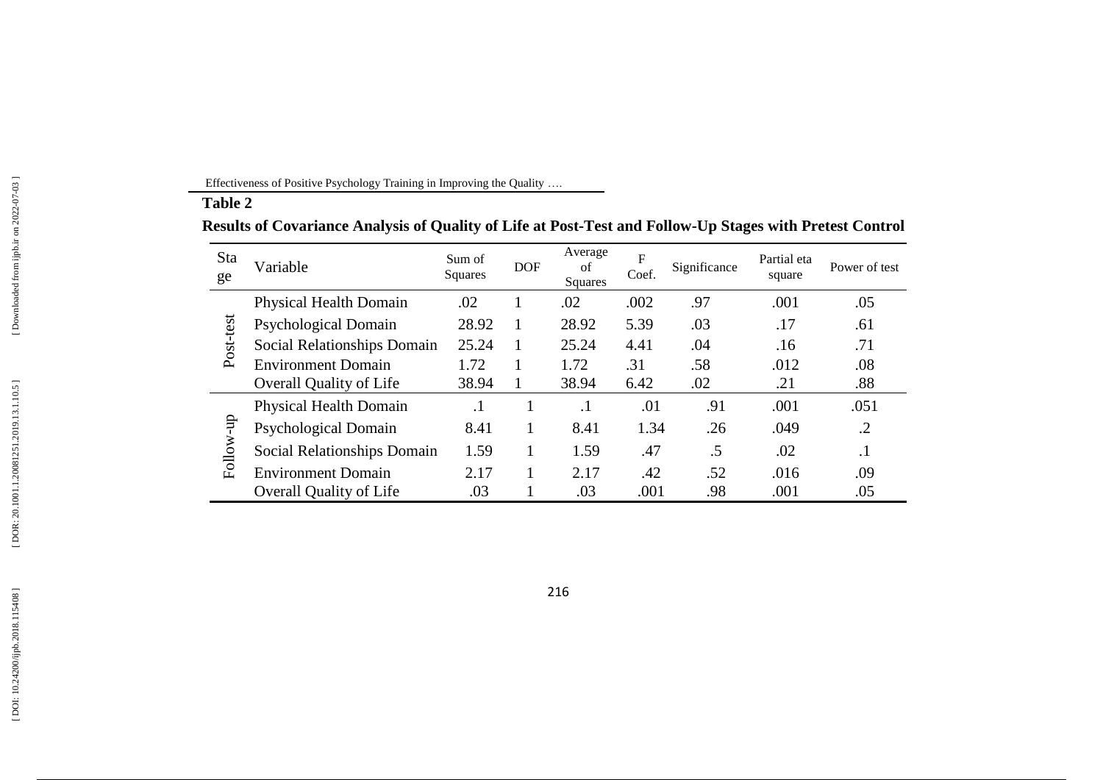Effectiveness of Positive Psychology Training in Improving the Quality ….

**Table 2**

# **Results of Covariance Analysis of Quality of Life at Post - Test and Follow - Up Stages with Pretest Control**

| <b>Sta</b><br>ge | Variable                       | Sum of<br><b>Squares</b> | <b>DOF</b> | Average<br>of<br>Squares | F<br>Coef. | Significance | Partial eta<br>square | Power of test |
|------------------|--------------------------------|--------------------------|------------|--------------------------|------------|--------------|-----------------------|---------------|
|                  | <b>Physical Health Domain</b>  | .02                      |            | .02                      | .002       | .97          | .001                  | .05           |
|                  | Psychological Domain           | 28.92                    |            | 28.92                    | 5.39       | .03          | .17                   | .61           |
| Post-test        | Social Relationships Domain    | 25.24                    |            | 25.24                    | 4.41       | .04          | .16                   | .71           |
|                  | <b>Environment Domain</b>      | 1.72                     |            | 1.72                     | .31        | .58          | .012                  | .08           |
|                  | <b>Overall Quality of Life</b> | 38.94                    | 1          | 38.94                    | 6.42       | .02          | .21                   | .88           |
|                  | <b>Physical Health Domain</b>  | $\cdot$ 1                |            | $\cdot$                  | .01        | .91          | .001                  | .051          |
| Follow-up        | Psychological Domain           | 8.41                     |            | 8.41                     | 1.34       | .26          | .049                  | $\cdot$ .2    |
|                  | Social Relationships Domain    | 1.59                     |            | 1.59                     | .47        | $.5\,$       | .02                   | $\cdot$       |
|                  | <b>Environment Domain</b>      | 2.17                     |            | 2.17                     | .42        | .52          | .016                  | .09           |
|                  | <b>Overall Quality of Life</b> | .03                      |            | .03                      | .001       | .98          | .001                  | .05           |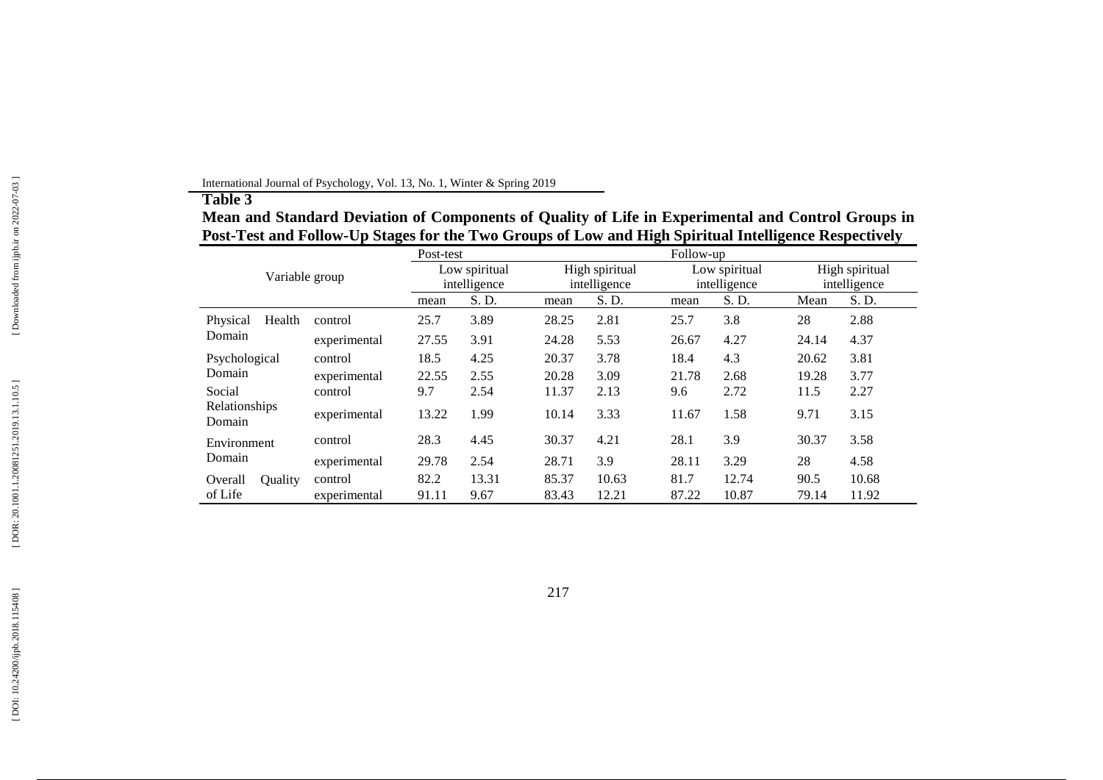# **Table 3**

**Mean and Standard Deviation of Components of Quality of Life in Experimental and Control Groups in Post - Test and Follow - Up Stages for the Two Groups of Low and High Spiritual Intelligence Respectively**

|                         | Post-test    |              |               | Follow-up |                |               |       |                |       |
|-------------------------|--------------|--------------|---------------|-----------|----------------|---------------|-------|----------------|-------|
| Variable group          |              |              | Low spiritual |           | High spiritual | Low spiritual |       | High spiritual |       |
|                         |              | intelligence |               |           | intelligence   | intelligence  |       | intelligence   |       |
|                         |              | mean         | S. D.         | mean      | S. D.          | mean          | S. D. | Mean           | S. D. |
| Health<br>Physical      | control      | 25.7         | 3.89          | 28.25     | 2.81           | 25.7          | 3.8   | 28             | 2.88  |
| Domain                  | experimental | 27.55        | 3.91          | 24.28     | 5.53           | 26.67         | 4.27  | 24.14          | 4.37  |
| Psychological           | control      | 18.5         | 4.25          | 20.37     | 3.78           | 18.4          | 4.3   | 20.62          | 3.81  |
| Domain                  | experimental | 22.55        | 2.55          | 20.28     | 3.09           | 21.78         | 2.68  | 19.28          | 3.77  |
| Social                  | control      | 9.7          | 2.54          | 11.37     | 2.13           | 9.6           | 2.72  | 11.5           | 2.27  |
| Relationships<br>Domain | experimental | 13.22        | 1.99          | 10.14     | 3.33           | 11.67         | 1.58  | 9.71           | 3.15  |
| Environment             | control      | 28.3         | 4.45          | 30.37     | 4.21           | 28.1          | 3.9   | 30.37          | 3.58  |
| Domain                  | experimental | 29.78        | 2.54          | 28.71     | 3.9            | 28.11         | 3.29  | 28             | 4.58  |
| Overall<br>Quality      | control      | 82.2         | 13.31         | 85.37     | 10.63          | 81.7          | 12.74 | 90.5           | 10.68 |
| of Life                 | experimental | 91.11        | 9.67          | 83.43     | 12.21          | 87.22         | 10.87 | 79.14          | 11.92 |

International Journal of Psychology, Vol. 1 3, No. 1, Winter & Spring 201 9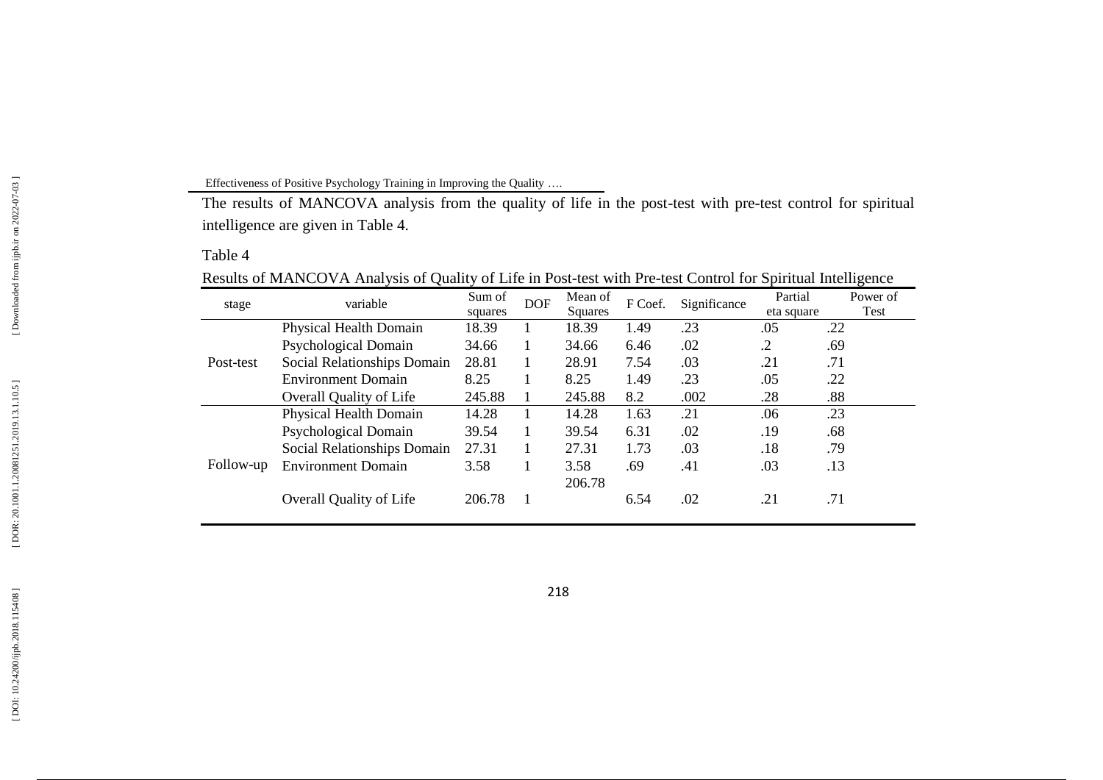# Effectiveness of Positive Psychology Training in Improving the Quality ….

The results of MANCOVA analysis from the quality of life in the post-test with pre-test control for spiritual intelligence are given in Table 4.

# Table 4

|  | Results of MANCOVA Analysis of Quality of Life in Post-test with Pre-test Control for Spiritual Intelligence |  |
|--|--------------------------------------------------------------------------------------------------------------|--|
|  |                                                                                                              |  |

| stage     | variable                       | Sum of  | <b>DOF</b> | Mean of | F Coef. | Significance | Partial    | Power of |
|-----------|--------------------------------|---------|------------|---------|---------|--------------|------------|----------|
|           |                                | squares |            | Squares |         |              | eta square | Test     |
|           | Physical Health Domain         | 18.39   |            | 18.39   | 1.49    | .23          | .05        | .22      |
|           | Psychological Domain           | 34.66   | 1          | 34.66   | 6.46    | .02          | .2         | .69      |
| Post-test | Social Relationships Domain    | 28.81   | 1          | 28.91   | 7.54    | .03          | .21        | .71      |
|           | <b>Environment Domain</b>      | 8.25    |            | 8.25    | 1.49    | .23          | .05        | .22      |
|           | <b>Overall Quality of Life</b> | 245.88  |            | 245.88  | 8.2     | .002         | .28        | .88      |
|           | Physical Health Domain         | 14.28   |            | 14.28   | 1.63    | .21          | .06        | .23      |
|           | Psychological Domain           | 39.54   | 1          | 39.54   | 6.31    | .02          | .19        | .68      |
|           | Social Relationships Domain    | 27.31   |            | 27.31   | 1.73    | .03          | .18        | .79      |
| Follow-up | <b>Environment Domain</b>      | 3.58    | 1          | 3.58    | .69     | .41          | .03        | .13      |
|           |                                |         |            | 206.78  |         |              |            |          |
|           | <b>Overall Quality of Life</b> | 206.78  |            |         | 6.54    | .02          | .21        | .71      |
|           |                                |         |            |         |         |              |            |          |

218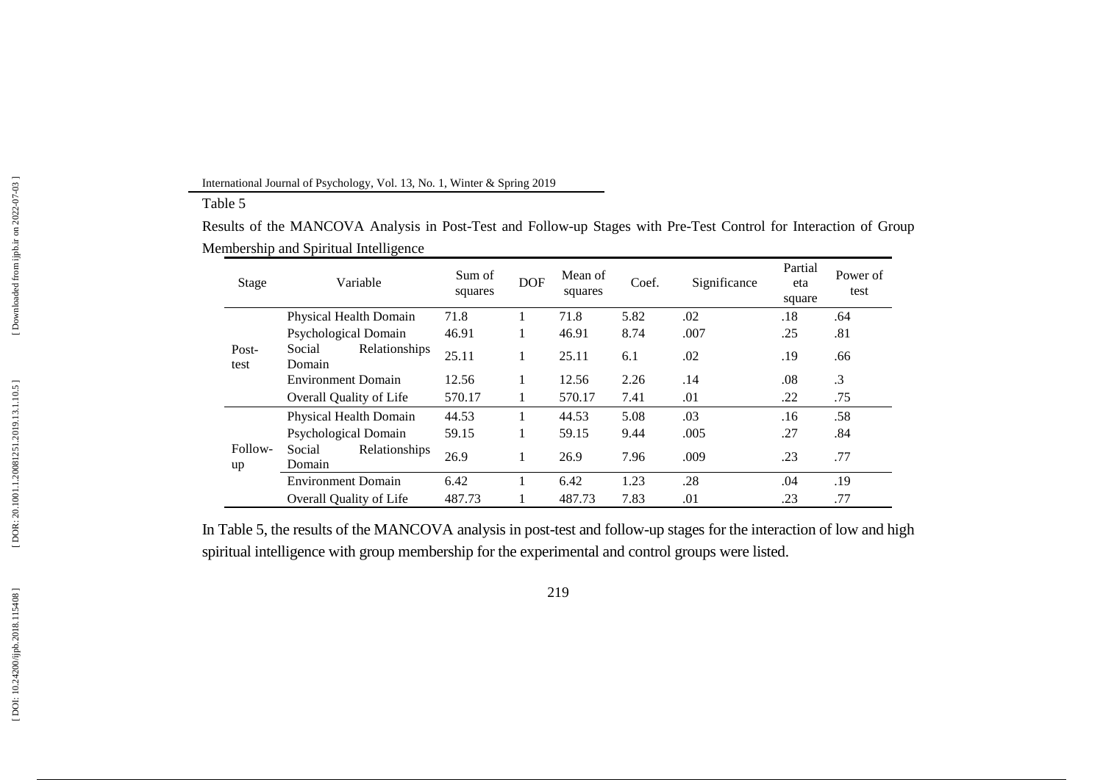#### International Journal of Psychology, Vol. 1 3, No. 1, Winter & Spring 201 9

#### Table 5

Results of the MANCOVA Analysis in Post-Test and Follow-up Stages with Pre-Test Control for Interaction of Group Membership and Spiritual Intelligence

| Stage         | Variable                          | Sum of<br>squares | <b>DOF</b> | Mean of<br>squares | Coef. | Significance | Partial<br>eta<br>square | Power of<br>test |
|---------------|-----------------------------------|-------------------|------------|--------------------|-------|--------------|--------------------------|------------------|
|               | Physical Health Domain            | 71.8              |            | 71.8               | 5.82  | .02          | .18                      | .64              |
|               | Psychological Domain              | 46.91             | 1          | 46.91              | 8.74  | .007         | .25                      | .81              |
| Post-<br>test | Relationships<br>Social<br>Domain | 25.11             | л.         | 25.11              | 6.1   | .02          | .19                      | .66              |
|               | <b>Environment Domain</b>         | 12.56             | л.         | 12.56              | 2.26  | .14          | .08                      | $\cdot$ 3        |
|               | <b>Overall Quality of Life</b>    | 570.17            |            | 570.17             | 7.41  | .01          | .22                      | .75              |
|               | Physical Health Domain            | 44.53             |            | 44.53              | 5.08  | .03          | .16                      | .58              |
|               | <b>Psychological Domain</b>       | 59.15             | 1          | 59.15              | 9.44  | .005         | .27                      | .84              |
| Follow-<br>up | Relationships<br>Social<br>Domain | 26.9              | 1          | 26.9               | 7.96  | .009         | .23                      | .77              |
|               | <b>Environment Domain</b>         | 6.42              |            | 6.42               | 1.23  | .28          | .04                      | .19              |
|               | Overall Quality of Life           | 487.73            |            | 487.73             | 7.83  | .01          | .23                      | .77              |

In Table 5, the results of the MANCOVA analysis in post -test and follow -up stages for the interaction of low and high spiritual intelligence with group membership for the experimental and control groups were listed.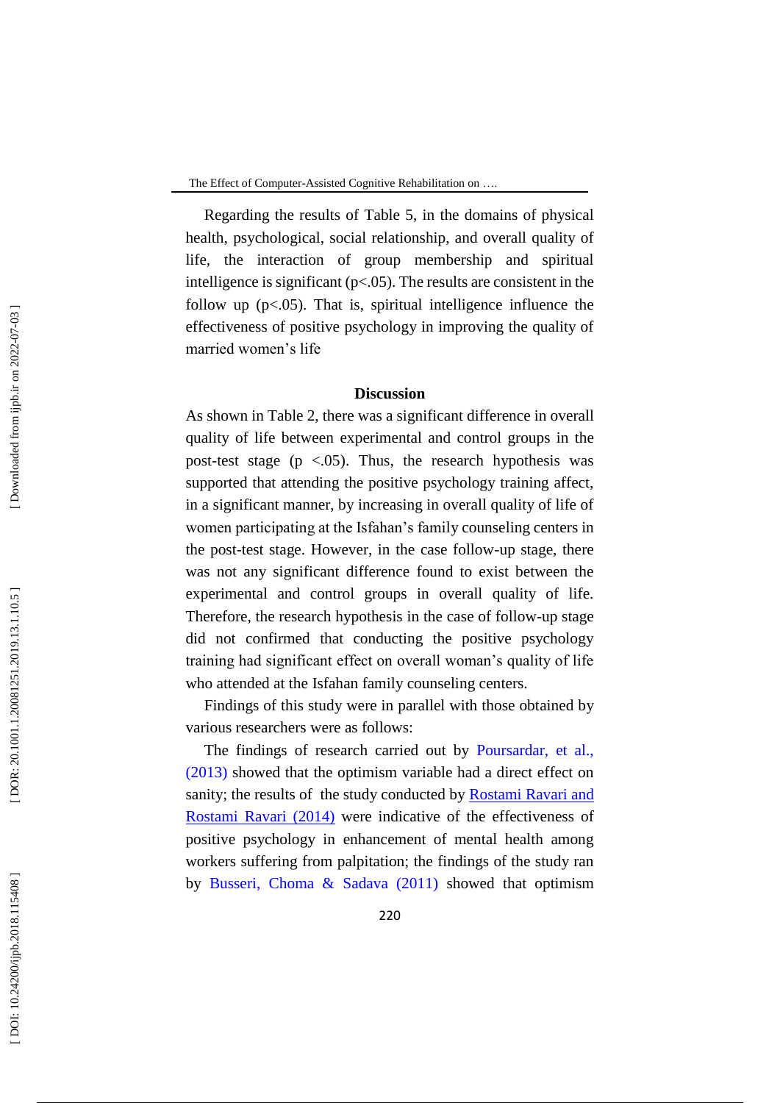Regarding the results of Table 5, in the domains of physical health, psychological, social relationship, and overall quality of life, the interaction of group membership and spiritual intelligence is significant (p<.05). The results are consistent in the follow up (p<.05). That is, spiritual intelligence influence the effectiveness of positive psychology in improving the quality of married women's life

# **Discussion**

As shown in Table 2, there was a significant difference in overall quality of life between experimental and control groups in the post -test stage (p <.05). Thus, the research hypothesis was supported that attending the positive psychology training affect, in a significant manner, by increasing in overall quality of life of women participating at the Isfahan's family counseling centers in the post -test stage. However, in the case follow -up stage, there was not any significant difference found to exist between the experimental and control groups in overall quality of life. Therefore, the research hypothesis in the case of follow -up stage did not confirmed that conducting the positive psychology training had significant effect on overall woman's quality of life who attended at the Isfahan family counseling centers.

Findings of this study were in parallel with those obtained by various researchers were as follows:

The findings of research carried out by Poursardar, et al., (2013) showed that the optimism variable had a direct effect on sanity; the results of the study conducted by Rostami Ravari and Rostami Ravari (2014) were indicative of the effectiveness of positive psychology in enhancement of mental health among workers suffering from palpitation; the findings of the study ran by Busseri, Choma & Sadava (2011) showed that optimism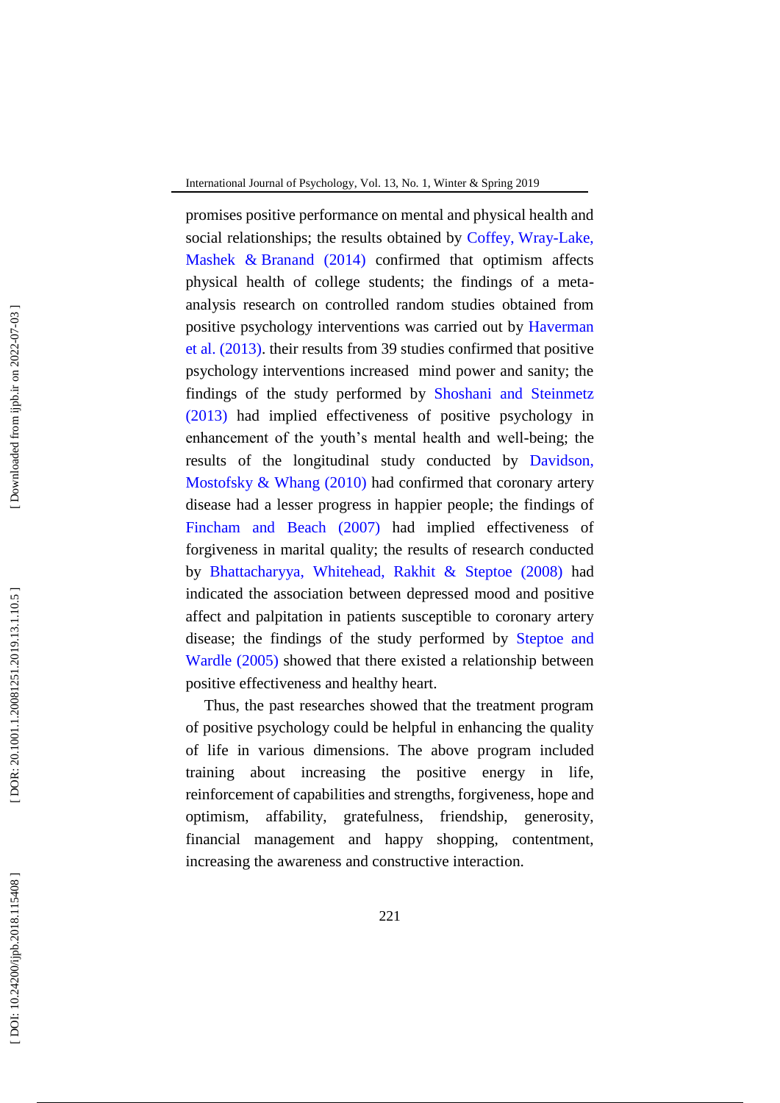promises positive performance on mental and physical health and social relationships; the results obtained by Coffey, Wray-Lake, Mashek & Branand (2014) confirmed that optimism affects physical health of college students; the findings of a meta analysis research on controlled random studies obtained from positive psychology interventions was carried out by Haverman et al. (2013) . their results from 39 studies confirmed that positive psychology interventions increased mind power and sanity; the findings of the study performed by Shoshani and Steinmetz (2013) had implied effectiveness of positive psychology in enhancement of the youth's mental health and well -being; the results of the longitudinal study conducted by Davidson, Mostofsky & Whang (2010) had confirmed that coronary artery disease had a lesser progress in happier people; the findings of Fincham and Beach (2007) had implied effectiveness of forgiveness in marital quality; the results of research conducted by Bhattacharyya, Whitehead, Rakhit & Steptoe (2008) had indicated the association between depressed mood and positive affect and palpitation in patients susceptible to coronary artery disease; the findings of the study performed by Steptoe and Wardle (2005) showed that there existed a relationship between positive effectiveness and healthy heart.

Thus, the past researches showed that the treatment program of positive psychology could be helpful in enhancing the quality of life in various dimensions. The above program included training about increasing the positive energy in life, reinforcement of capabilities and strengths, forgiveness, hope and optimism, affability, gratefulness, friendship, generosity, financial management and happy shopping, contentment, increasing the awareness and constructive interaction.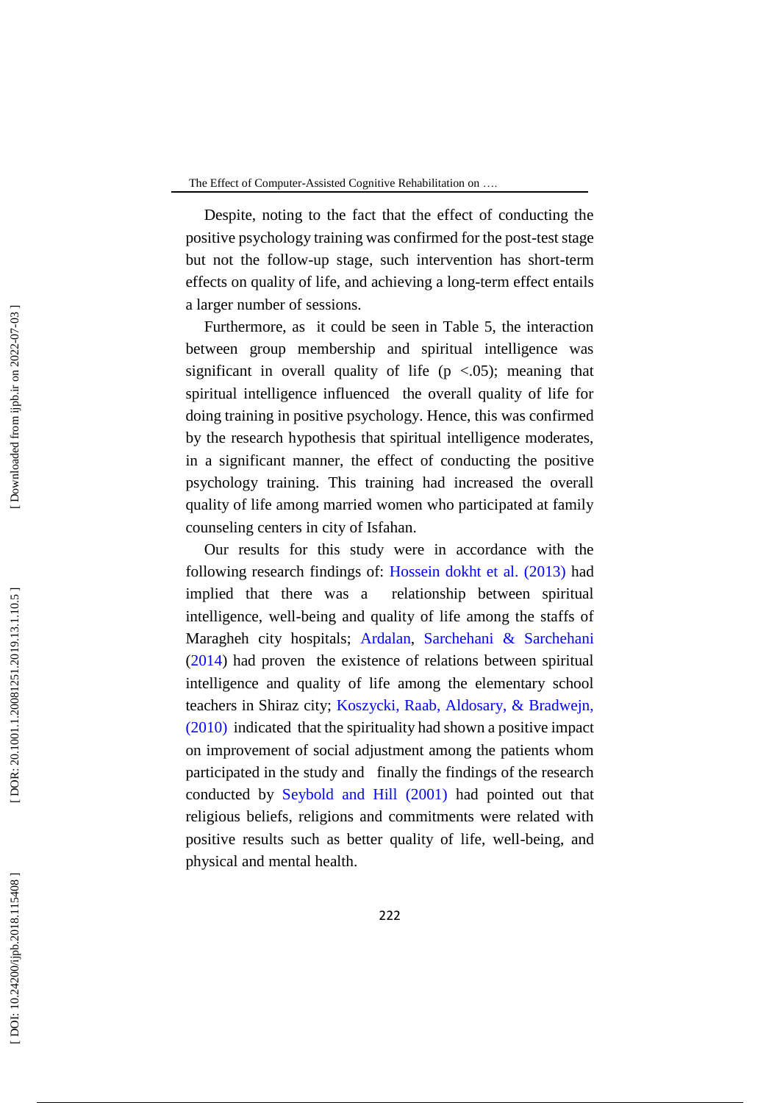Despite, noting to the fact that the effect of conducting the positive psychology training was confirmed for the post -test stage but not the follow -up stage, such intervention has short -term effects on quality of life, and achieving a long -term effect entails a larger number of sessions.

Furthermore, as it could be seen in Table 5, the interaction between group membership and spiritual intelligence was significant in overall quality of life ( $p \lt 0.05$ ); meaning that spiritual intelligence influenced the overall quality of life for doing training in positive psychology. Hence, this was confirmed by the research hypothesis that spiritual intelligence moderates, in a significant manner, the effect of conducting the positive psychology training. This training had increased the overall quality of life among married women who participated at family counseling centers in city of Isfahan.

Our results for this study were in accordance with the following research findings of: Hossein dokht et al. (2013) had implied that there was a relationship between spiritual intelligence, well -being and quality of life among the staffs of Maragheh city hospitals; Ardalan, Sarchehani & Sarchehani (2014) had proven the existence of relations between spiritual intelligence and quality of life among the elementary school teachers in Shiraz city; Koszycki, Raab, Aldosary, & Bradwejn, (2010) indicated that the spirituality had shown a positive impact on improvement of social adjustment among the patients whom participated in the study and finally the findings of the research conducted by Seybold and Hill (2001) had pointed out that religious beliefs, religions and commitments were related with positive results such as better quality of life, well -being, and physical and mental health.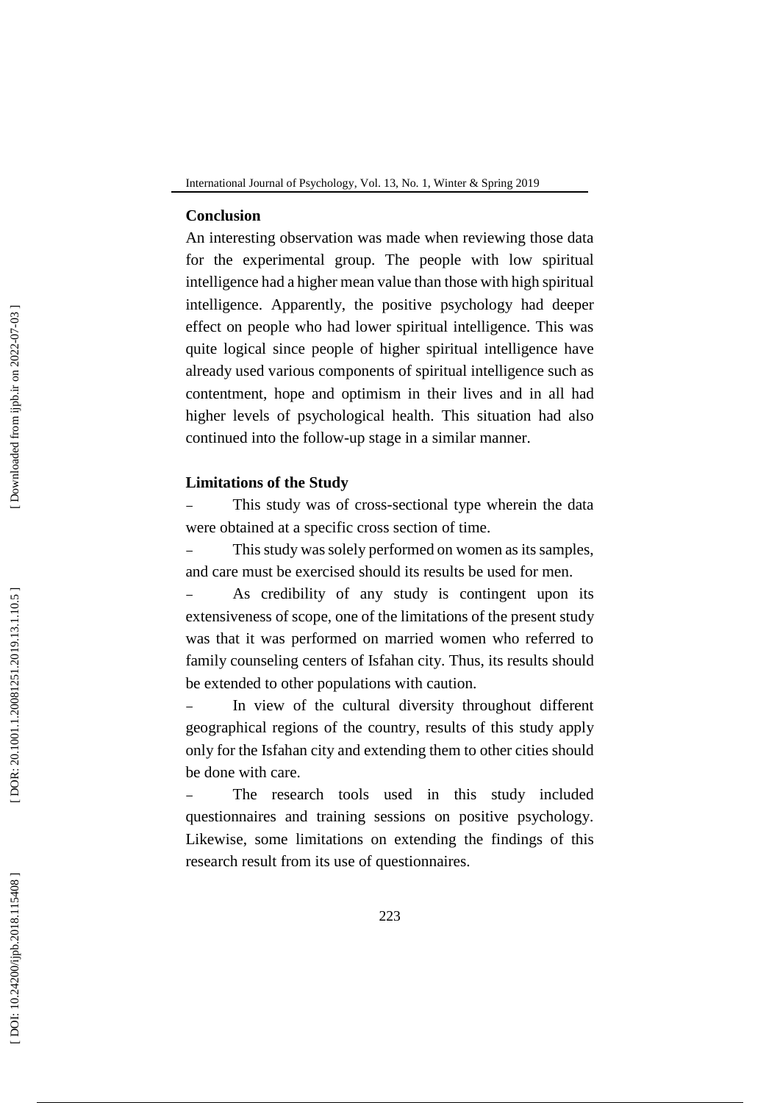### **Conclusion**

An interesting observation was made when reviewing those data for the experimental group. The people with low spiritual intelligence had a higher mean value than those with high spiritual intelligence. Apparently, the positive psychology had deeper effect on people who had lower spiritual intelligence. This was quite logical since people of higher spiritual intelligence have already used various components of spiritual intelligence such as contentment, hope and optimism in their lives and in all had higher levels of psychological health. This situation had also continued into the follow -up stage in a similar manner.

# **Limitations of the Study**

- This study was of cross -sectional type wherein the data were obtained at a specific cross section of time.

This study was solely performed on women as its samples, and care must be exercised should its results be used for men.

As credibility of any study is contingent upon its extensiveness of scope, one of the limitations of the present study was that it was performed on married women who referred to family counseling centers of Isfahan city. Thus, its results should be extended to other populations with caution.

In view of the cultural diversity throughout different geographical regions of the country, results of this study apply only for the Isfahan city and extending them to other cities should be done with care.

The research tools used in this study included questionnaires and training sessions on positive psychology. Likewise, some limitations on extending the findings of this research result from its use of questionnaires.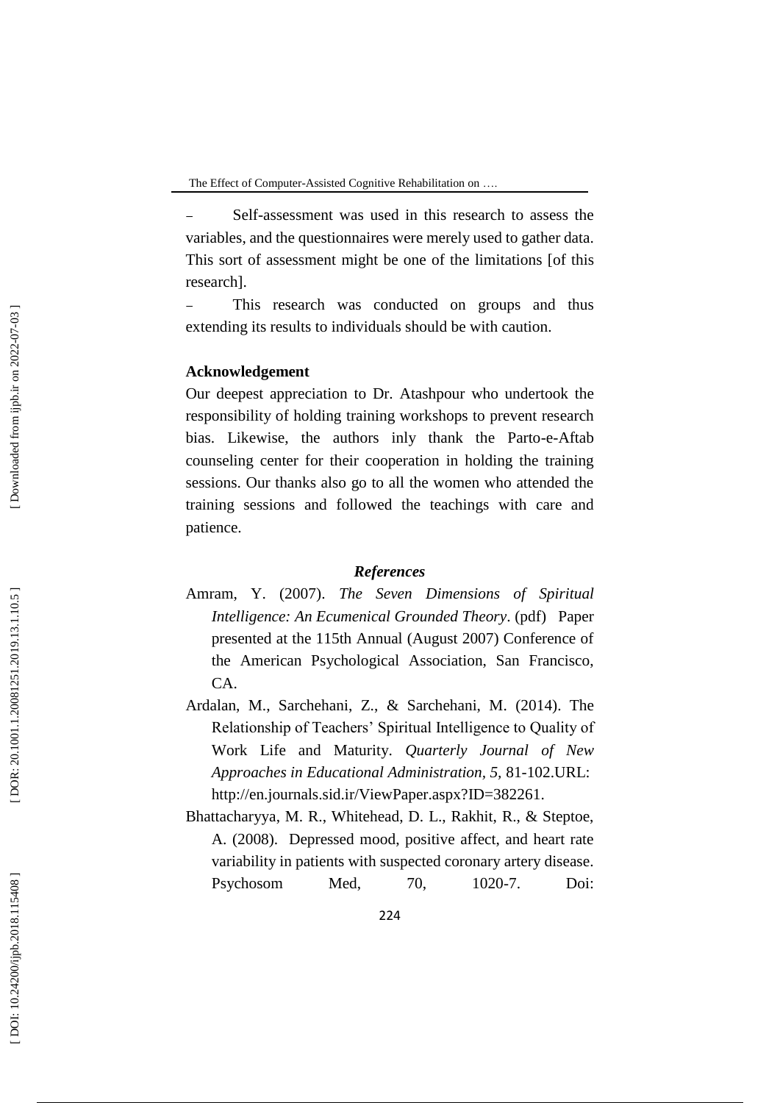Self-assessment was used in this research to assess the variables, and the questionnaires were merely used to gather data. This sort of assessment might be one of the limitations [of this research].

- This research was conducted on groups and thus extending its results to individuals should be with caution.

## **Acknowledgement**

Our deepest appreciation to Dr. Atashpour who undertook the responsibility of holding training workshops to prevent research bias. Likewise, the authors inly thank the Parto-e-Aftab counseling center for their cooperation in holding the training sessions. Our thanks also go to all the women who attended the training sessions and followed the teachings with care and patience.

### *References*

- Amram, Y. (2007). *[The Seven Dimensions of Spiritual](http://www.yosiamram.net/docs/7_Dimensions_of_SI_APA_confr_paper_Yosi_Amram.pdf)  [Intelligence: An Ecumenical Grounded Theory](http://www.yosiamram.net/docs/7_Dimensions_of_SI_APA_confr_paper_Yosi_Amram.pdf)*. (pdf) Paper presented at the 115th Annual (August 2007) Conference of the American Psychological Association, San Francisco, CA.
- [Ardalan, M.](http://en.journals.sid.ir/SearchPaper.aspx?writer=36600) , [Sarchehani, Z.,](http://en.journals.sid.ir/SearchPaper.aspx?writer=542958) & [Sarchehani, M.](http://en.journals.sid.ir/SearchPaper.aspx?writer=542960) (2014). The Relationship of Teachers' Spiritual Intelligence to Quality of Work Life and Maturity. *Quarterly Journal of New Approaches in Educational Administration, 5,* 81 -102.URL: http://en.journals.sid.ir/ViewPaper.aspx?ID=382261.
- Bhattacharyya, M. R., Whitehead, D. L., Rakhit, R., & Steptoe, A. (2008). Depressed mood, positive affect, and heart rate variability in patients with suspected coronary artery disease. Psychosom Med, 70,  $1020 - 7.$ Doi: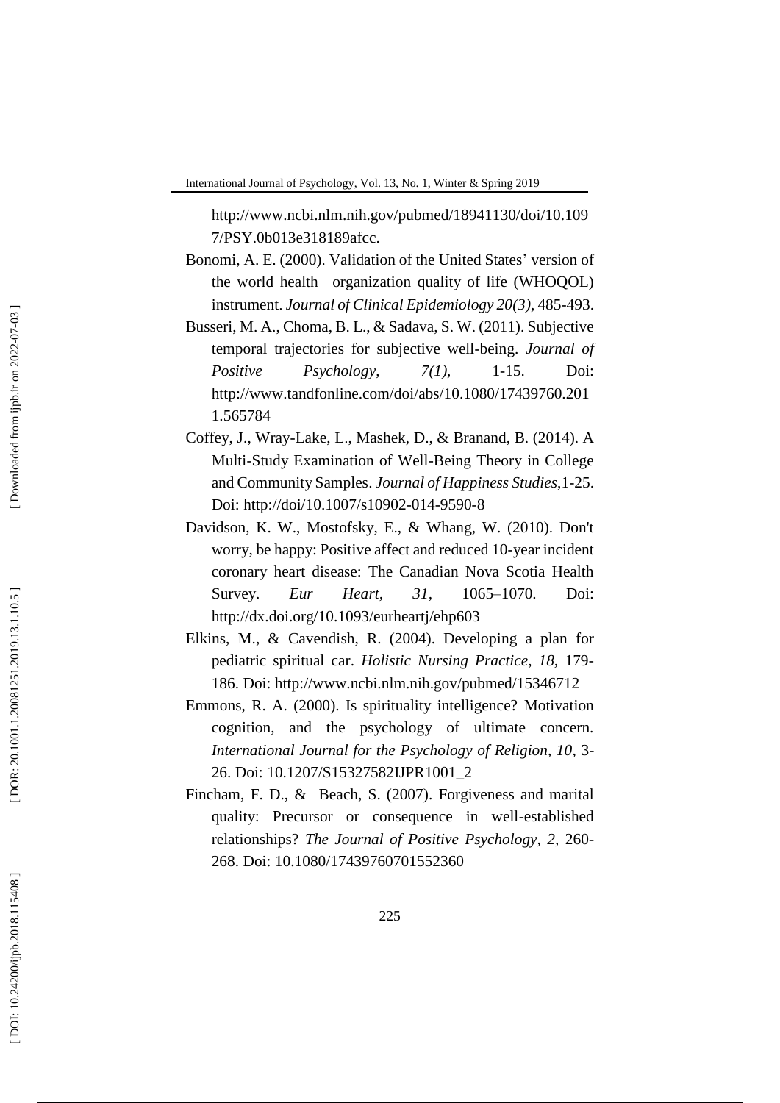[http://www.ncbi.nlm.nih.gov/pubmed/18941130/doi/10.109](http://www.ncbi.nlm.nih.gov/pubmed/18941130/doi/10.1097/PSY.0b013e318189afcc) [7/PSY.0b013e318189afcc](http://www.ncbi.nlm.nih.gov/pubmed/18941130/doi/10.1097/PSY.0b013e318189afcc) .

- Bonomi, A. E. (2000) . Validation of the United States' version of the world health organization quality of life (WHOQOL) instrument . *Journal of Clinical Epidemiology 20 ( 3),* 485 -493 .
- Busseri, M. A., Choma, B. L., & Sadava, S. W. (2011). Subjective temporal trajectories for subjective well -being. *Journal of Positive Psychology*, *7(1),*  $1 - 15$ . Doi: [http://www.tandfonline.com/doi/abs/10.1080/17439760.201](http://www.tandfonline.com/doi/abs/10.1080/17439760.2011.565784) [1.565784](http://www.tandfonline.com/doi/abs/10.1080/17439760.2011.565784)
- Coffey, J., Wray -Lake, L . , Mashek, D., & Branand, B. (2014). [A](http://link.springer.com/article/10.1007/s10902-014-9590-8)  Multi [-Study Examination of Well](http://link.springer.com/article/10.1007/s10902-014-9590-8) -Being Theory in College [and Community Samples.](http://link.springer.com/article/10.1007/s10902-014-9590-8) *[Journal of Happiness Studies](http://link.springer.com/journal/10902)*,1 -25. Doi: [http://doi/10.1007/s10902](http://doi/10.1007/s10902-014-9590-8)-014-9590-8
- Davidson, K. W., Mostofsky, E., & Whang, W. (2010). Don't worry, be happy: Positive affect and reduced 10 -year incident coronary heart disease: The Canadian Nova Scotia Health Survey. *Eur Heart*, 31, –1070. Doi: <http://dx.doi.org/10.1093/eurheartj/ehp603>
- Elkins, M., & Cavendish, R. (2004). Developing a plan for pediatric spiritual car. *Holistic Nursing Practice, 18,* 179 - 186. Doi: http://www.ncbi.nlm.nih.gov/pubmed/15346712
- Emmons, R. A. (2000). Is spirituality intelligence? Motivation cognition, and the psychology of ultimate concern. *International Journal for the Psychology of Religion, 10*, 3 - 26. Doi: 10.1207 / S15327582IJPR1001 \_ 2
- Fincham, F. D., & Beach, S. (2007). Forgiveness and marital quality: Precursor or consequence in well -established relationships? *The Journal of Positive Psychology, 2,* 260 - 268. Doi: 10.1080/17439760701552360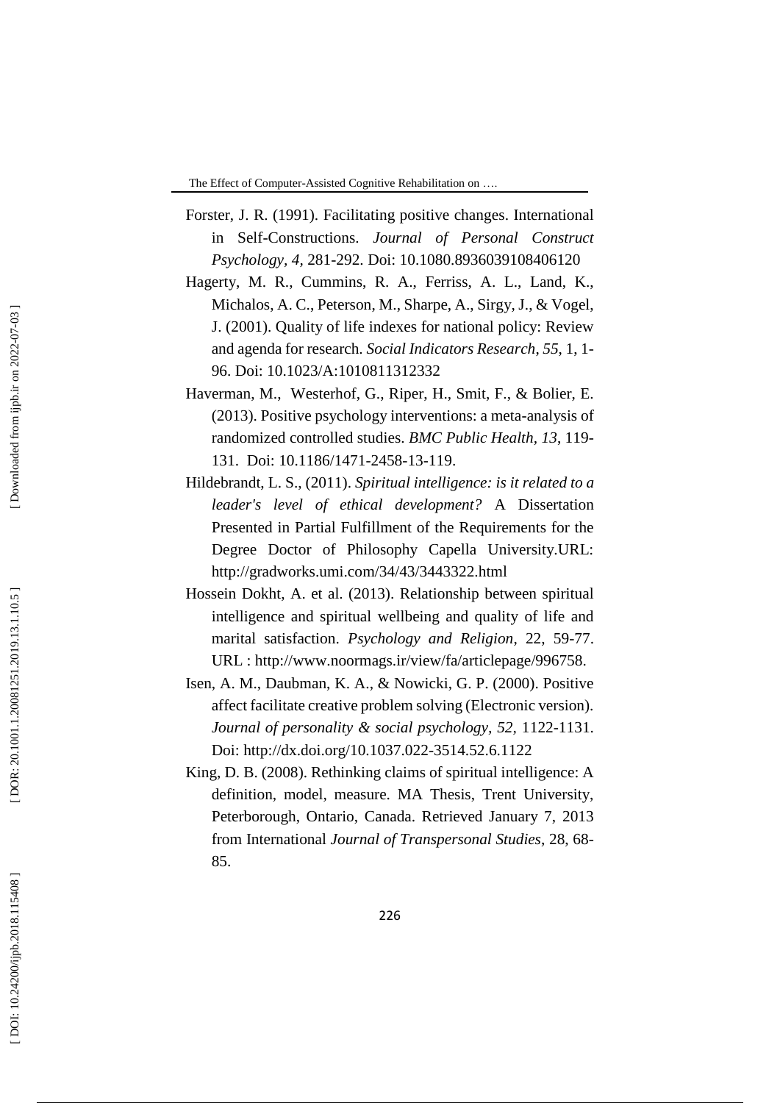- Forster, J. R. (1991). Facilitating positive changes. International in Self-Constructions. *Journal of Personal Construct Psychology, 4,* 281 -292. Doi: 10.1080.8936039108406120
- Hagerty, M. R., Cummins, R. A., Ferriss, A. L., Land, K., Michalos, A. C., Peterson, M., Sharpe, A., Sirgy, J., & Vogel, J. (2001). Quality of life indexes for national policy: Review and agenda for research. *Social Indicators Research*, *55*, 1, 1 - 96. Doi: 10.1023/A:1010811312332
- Haverman, M., Westerhof, G., Riper, H., Smit, F., & Bolier, E. (2013). Positive psychology interventions: a meta -analysis of randomized controlled studies. *BMC Public Health, 13*, 119 - 131. Doi: 10.1186/1471 -2458 -13 -119.
- Hildebrandt, L. S., (2011). *Spiritual intelligence: is it related to a leader's level of ethical development?* A Dissertation Presented in Partial Fulfillment of the Requirements for the Degree Doctor of Philosophy Capella University.URL: <http://gradworks.umi.com/34/43/3443322.html>
- Hossein Dokht, A. et al. (2013). Relationship between spiritual intelligence and spiritual wellbeing and quality of life and marital satisfaction. *Psychology and Religion*, 22, 59 -77. URL : http://www.noormags.ir/view/fa/articlepage/996758.
- Isen, A. M., Daubman, K. A., & Nowicki, G. P. (2000). Positive affect facilitate creative problem solving (Electronic version). Journal of personality & social psychology, 52, 1122-1131. Doi: [http://dx.doi.org/10.1037.022](http://psycnet.apa.org/doi/10.1037/0022-3514.52.6.1122) -3514.52.6.1122
- King, D. B. (2008). Rethinking claims of spiritual intelligence: A definition, model, measure. MA Thesis, Trent University, Peterborough, Ontario, Canada. Retrieved January 7, 2013 from International *Journal of Transpersonal Studies*, 28, 68 - 85.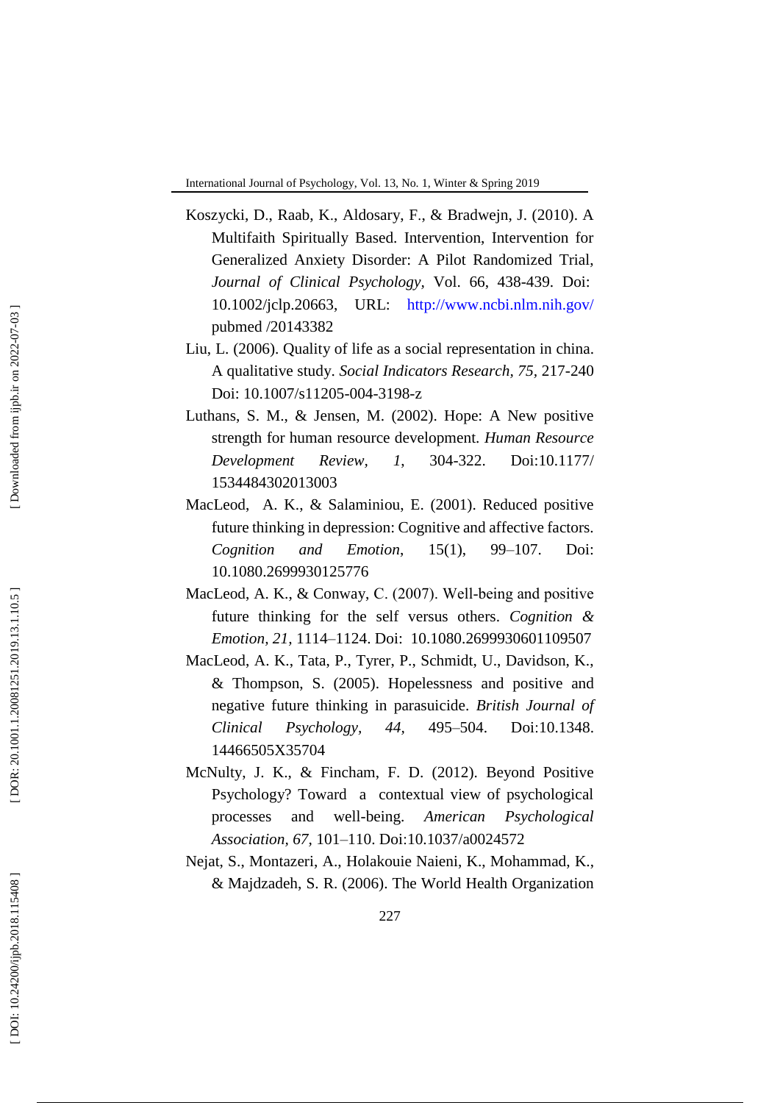- Koszycki, D ., Raab, K ., Aldosary, F ., & Bradwejn, J. (2010). A Multifaith Spiritually Based. Intervention, Intervention for Generalized Anxiety Disorder: A Pilot Randomized Trial, Journal of Clinical Psychology, Vol. 66, 438-439. Doi[:](http://dx.doi.org/10.1002/jclp.20663) [10.1002/jclp.20663,](http://dx.doi.org/10.1002/jclp.20663) URL: <http://www.ncbi.nlm.nih.gov/> pubmed /20143382
- Liu, L. (2006). Quality of life as a social representation in china. A qualitative study. *Social Indicators Research, 75,* 217 -240 Doi: 10.1007/s11205-004-3198-z
- Luthans, S. M., & Jensen, M. (2002). Hope: A New positive strength for human resource development. *Human Resource Development Review, 1*, 304 Doi:10.1177/ 1534484302013003
- MacLeod, A. K., & Salaminiou, E. (2001). Reduced positive future thinking in depression: Cognitive and affective factors. *Cognition and Emotion*, 15(1), –107. Doi: 10.1080.2699930125776
- MacLeod, A. K., & Conway, C. (2007). Well-being and positive future thinking for the self versus others. *Cognition & Emotion, 21,* 1114 –1124. Doi: 10.1080.2699930601109507
- MacLeod, A. K., Tata, P., Tyrer, P., Schmidt, U., Davidson, K., & Thompson, S. (2005). Hopelessness and positive and negative future thinking in parasuicide. *British Journal of Clinical Psychology, 44,* 495-504. Doi:10.1348. 14466505X35704
- McNulty, J. K., & Fincham, F. D. (2012). Beyond Positive Psychology? Toward a contextual view of psychological processes and well -being. *American Psychological*  Assoc[i](http://dx.doi.org/10.1037%2Fa0024572)ation, 67, 101-110. Doi:10.1037/[a0024572](http://dx.doi.org/10.1037%2Fa0024572)
- [Nejat,](http://sjsph.tums.ac.ir/search.php?slc_lang=en&sid=1&auth=Nejat) S., [Montazeri,](http://sjsph.tums.ac.ir/search.php?slc_lang=en&sid=1&auth=Montazeri) A., [Holakouie Naieni, K., Mohammad,](http://sjsph.tums.ac.ir/search.php?slc_lang=en&sid=1&auth=Holakouie+Naieni) K.[,](http://sjsph.tums.ac.ir/search.php?slc_lang=en&sid=1&auth=Majdzadeh) [& Majdzadeh,](http://sjsph.tums.ac.ir/search.php?slc_lang=en&sid=1&auth=Majdzadeh) S. R. (2006). [The World Health Organization](http://sjsph.tums.ac.ir/files/site1/user_files_edcd0e/eng/tums-A-10-25-187-a0584c4.pdf)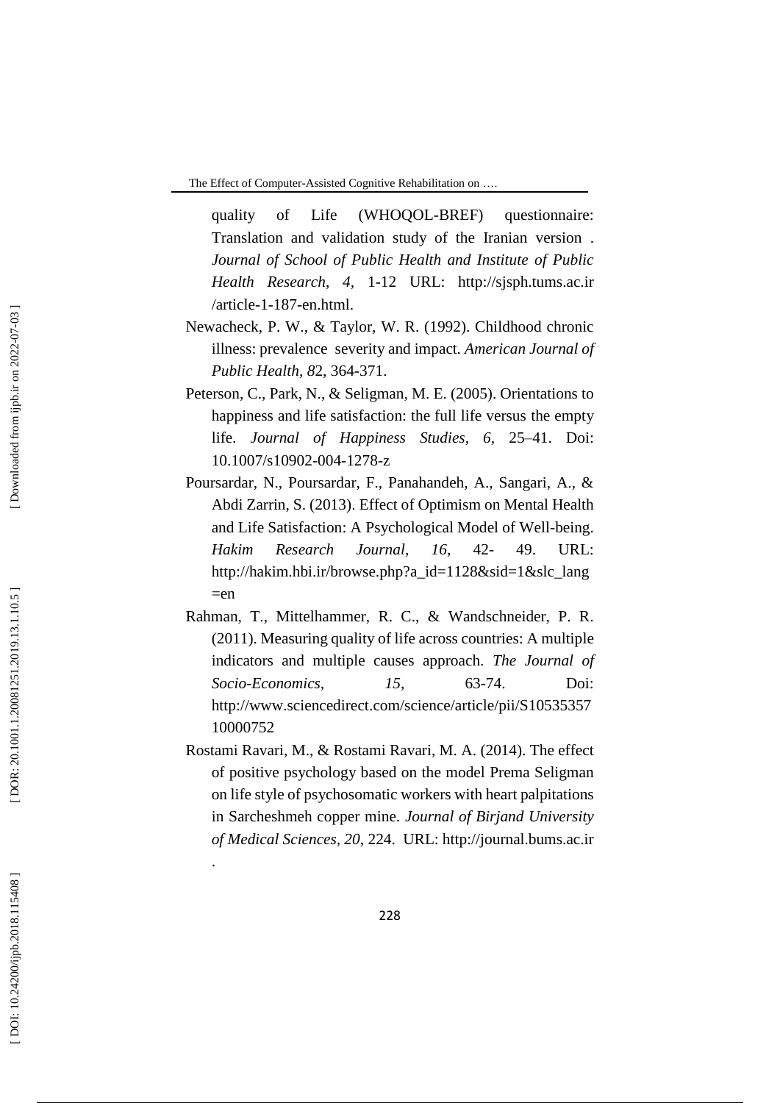[quality of Life \(WHOQOL](http://sjsph.tums.ac.ir/files/site1/user_files_edcd0e/eng/tums-A-10-25-187-a0584c4.pdf)-BREF) questionnaire: [Translation and validation study of the Iranian version](http://sjsph.tums.ac.ir/files/site1/user_files_edcd0e/eng/tums-A-10-25-187-a0584c4.pdf) . *Journal of School of Public Health and Institute of Public Health Research*, *4,* 1 -12 URL: http://sjsph.tums.ac.ir /article - 1 -187 -en.html.

- Newacheck, P. W., & Taylor, W. R. (1992). Childhood chronic illness: prevalence severity and impact*. American Journal of Public Health, 8*2, 364 -371.
- Peterson, C., Park, N., & Seligman, M. E. (2005). Orientations to happiness and life satisfaction: the full life versus the empty life. *Journal of Happiness Studies*, 6, 25–41. Doi: 10.1007/s10902-004-1278-z
- Poursardar, N., Poursardar, F., Panahandeh, A., Sangari, A., & Abdi Zarrin, S. (2013) . Effect of Optimism on Mental Health and Life Satisfaction: A Psychological Model of Well -being. *Hakim Research Journal, 16*, 42 49. URL: http://hakim.hbi.ir/browse.php?a\_id=1128&sid=1&slc\_lang  $=$ en
- Rahman, T., Mittelhammer, R. C., & Wandschneider, P. R. (2011). Measuring quality of life across countries: A multiple indicators and multiple causes approach. *The Journal of Socio -Economics, 15,* 63 -74. Doi: http://www.sciencedirect.com/science/article/pii/S10535357 10000752
- Rostami Ravari, M., & Rostami Ravari, M. A. (2014). The effect of positive psychology based on the model Prema Seligman on life style of psychosomatic workers with heart palpitations in Sarcheshmeh copper mine. *Journal of Birjand University of Medical Sciences, 20*, 224. URL: [http://journal.bums.ac.ir](http://journal.bums.ac.ir/)

.